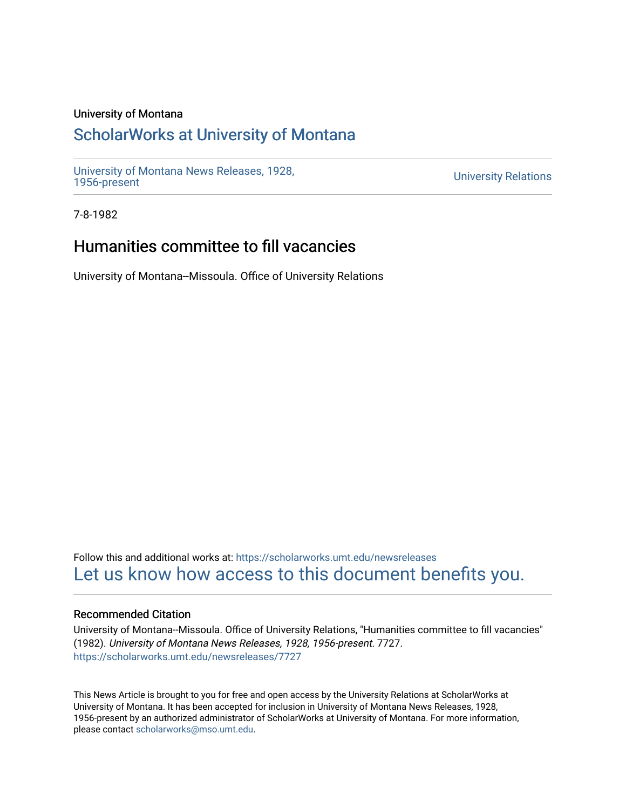#### University of Montana

## [ScholarWorks at University of Montana](https://scholarworks.umt.edu/)

[University of Montana News Releases, 1928,](https://scholarworks.umt.edu/newsreleases) 

**University Relations** 

7-8-1982

# Humanities committee to fill vacancies

University of Montana--Missoula. Office of University Relations

Follow this and additional works at: [https://scholarworks.umt.edu/newsreleases](https://scholarworks.umt.edu/newsreleases?utm_source=scholarworks.umt.edu%2Fnewsreleases%2F7727&utm_medium=PDF&utm_campaign=PDFCoverPages) [Let us know how access to this document benefits you.](https://goo.gl/forms/s2rGfXOLzz71qgsB2) 

#### Recommended Citation

University of Montana--Missoula. Office of University Relations, "Humanities committee to fill vacancies" (1982). University of Montana News Releases, 1928, 1956-present. 7727. [https://scholarworks.umt.edu/newsreleases/7727](https://scholarworks.umt.edu/newsreleases/7727?utm_source=scholarworks.umt.edu%2Fnewsreleases%2F7727&utm_medium=PDF&utm_campaign=PDFCoverPages) 

This News Article is brought to you for free and open access by the University Relations at ScholarWorks at University of Montana. It has been accepted for inclusion in University of Montana News Releases, 1928, 1956-present by an authorized administrator of ScholarWorks at University of Montana. For more information, please contact [scholarworks@mso.umt.edu.](mailto:scholarworks@mso.umt.edu)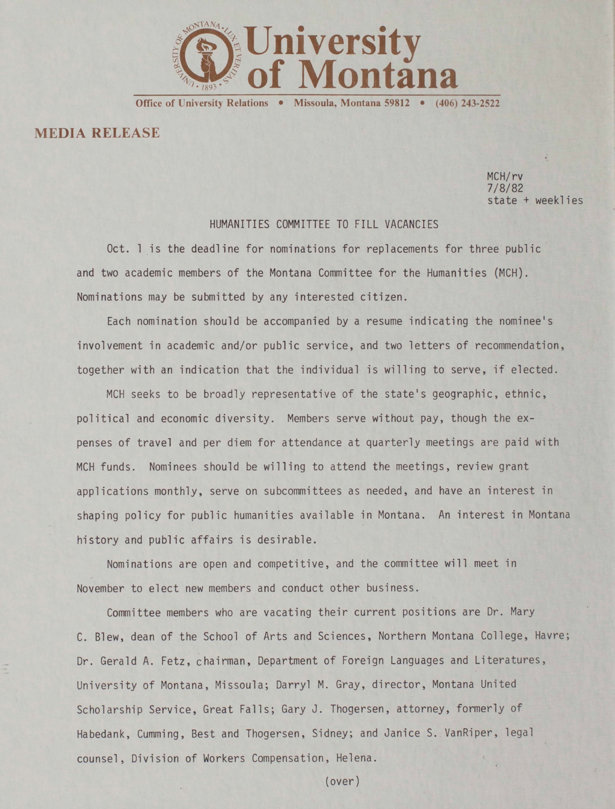

Office of University Relations • Missoula, Montana 59812 • (406) 243-2522

### **MEDIA RELEASE**

MCH/rv 7/8/82 state + weeklies

#### HUMANITIES COMMITTEE TO FILL VACANCIES

Oct. 1 is the deadline for nominations for replacements for three public and two academic members of the Montana Committee for the Humanities (MCH). Nominations may be submitted by any interested citizen.

Each nomination should be accompanied by a resume indicating the nominee's involvement in academic and/or public service, and two letters of recommendation, together with an indication that the individual is willing to serve, if elected.

MCH seeks to be broadly representative of the state's geographic, ethnic, political and economic diversity. Members serve without pay, though the expenses of travel and per diem for attendance at quarterly meetings are paid with MCH funds. Nominees should be willing to attend the meetings, review grant applications monthly, serve on subcommittees as needed, and have an interest in shaping policy for public humanities available in Montana. An interest in Montana history and public affairs is desirable.

Nominations are open and competitive, and the committee will meet in November to elect new members and conduct other business.

Committee members who are vacating their current positions are Dr. Mary C. Blew, dean of the School of Arts and Sciences, Northern Montana College, Havre; Dr. Gerald A. Fetz, chairman, Department of Foreign Languages and Literatures, University of Montana, Missoula; Darryl M. Gray, director, Montana United Scholarship Service, Great Falls; Gary J. Thogersen, attorney, formerly of Habedank, Cumming, Best and Thogersen, Sidney; and Janice S. VanRiper, legal counsel, Division of Workers Compensation, Helena.

(over)